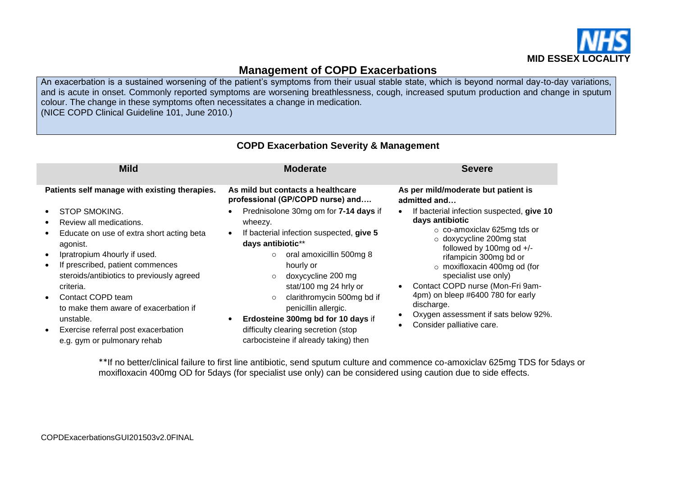

# **Management of COPD Exacerbations**

An exacerbation is a sustained worsening of the patient's symptoms from their usual stable state, which is beyond normal day-to-day variations, and is acute in onset. Commonly reported symptoms are worsening breathlessness, cough, increased sputum production and change in sputum colour. The change in these symptoms often necessitates a change in medication.

(NICE COPD Clinical Guideline 101, June 2010.)

| <b>Mild</b>                                                                                                                                                                                                                                                                                                                                                                                          | <b>Moderate</b>                                                                                                                                                                                                                                                                                                                                                                                                                                   | <b>Severe</b>                                                                                                                                                                                                                                                                                                                                                                                                       |
|------------------------------------------------------------------------------------------------------------------------------------------------------------------------------------------------------------------------------------------------------------------------------------------------------------------------------------------------------------------------------------------------------|---------------------------------------------------------------------------------------------------------------------------------------------------------------------------------------------------------------------------------------------------------------------------------------------------------------------------------------------------------------------------------------------------------------------------------------------------|---------------------------------------------------------------------------------------------------------------------------------------------------------------------------------------------------------------------------------------------------------------------------------------------------------------------------------------------------------------------------------------------------------------------|
| Patients self manage with existing therapies.                                                                                                                                                                                                                                                                                                                                                        | As mild but contacts a healthcare<br>professional (GP/COPD nurse) and                                                                                                                                                                                                                                                                                                                                                                             | As per mild/moderate but patient is<br>admitted and                                                                                                                                                                                                                                                                                                                                                                 |
| <b>STOP SMOKING.</b><br>Review all medications.<br>Educate on use of extra short acting beta<br>agonist.<br>Ipratropium 4hourly if used.<br>$\bullet$<br>If prescribed, patient commences<br>steroids/antibiotics to previously agreed<br>criteria.<br>Contact COPD team<br>to make them aware of exacerbation if<br>unstable.<br>Exercise referral post exacerbation<br>e.g. gym or pulmonary rehab | Prednisolone 30mg om for 7-14 days if<br>wheezy.<br>If bacterial infection suspected, give 5<br>$\bullet$<br>days antibiotic**<br>oral amoxicillin 500mg 8<br>$\circ$<br>hourly or<br>doxycycline 200 mg<br>$\circ$<br>stat/100 mg 24 hrly or<br>clarithromycin 500mg bd if<br>$\circ$<br>penicillin allergic.<br>Erdosteine 300mg bd for 10 days if<br>$\bullet$<br>difficulty clearing secretion (stop<br>carbocisteine if already taking) then | If bacterial infection suspected, give 10<br>days antibiotic<br>$\circ$ co-amoxiclav 625mg tds or<br>$\circ$ doxycycline 200mg stat<br>followed by 100mg od +/-<br>rifampicin 300mg bd or<br>$\circ$ moxifloxacin 400mg od (for<br>specialist use only)<br>Contact COPD nurse (Mon-Fri 9am-<br>4pm) on bleep #6400 780 for early<br>discharge.<br>Oxygen assessment if sats below 92%.<br>Consider palliative care. |

### **COPD Exacerbation Severity & Management**

\*\*If no better/clinical failure to first line antibiotic, send sputum culture and commence co-amoxiclav 625mg TDS for 5days or moxifloxacin 400mg OD for 5days (for specialist use only) can be considered using caution due to side effects.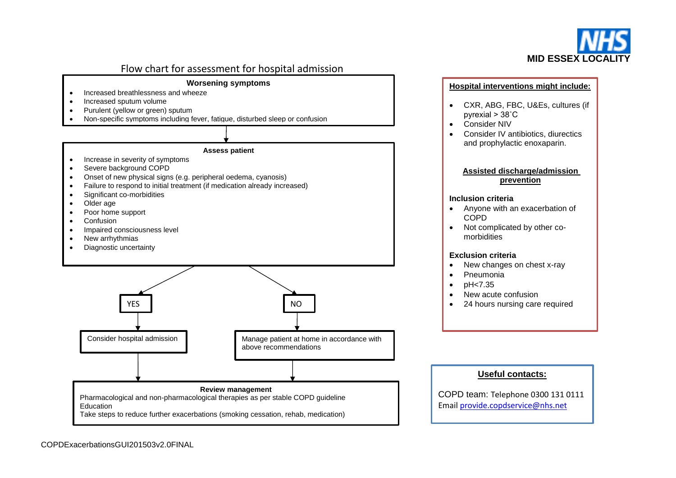

## Flow chart for assessment for hospital admission

### **Worsening symptoms**

- Increased breathlessness and wheeze
- Increased sputum volume
- Purulent (yellow or green) sputum
- Non-specific symptoms including fever, fatigue, disturbed sleep or confusion

#### **Assess patient**

- Increase in severity of symptoms
- Severe background COPD
- Onset of new physical signs (e.g. peripheral oedema, cyanosis)
- Failure to respond to initial treatment (if medication already increased)
- Significant co-morbidities
- Older age
- Poor home support
- Confusion
- Impaired consciousness level
- New arrhythmias
- Diagnostic uncertainty



#### **Hospital interventions might include:**

- CXR, ABG, FBC, U&Es, cultures (if pyrexial > 38˚C
- Consider NIV
- Consider IV antibiotics, diurectics and prophylactic enoxaparin.

#### **Assisted discharge/admission prevention**

#### **Inclusion criteria**

- Anyone with an exacerbation of COPD
- Not complicated by other comorbidities

#### **Exclusion criteria**

- New changes on chest x-ray
- Pneumonia
- $\bullet$  pH  $lt; 7.35$
- New acute confusion
- 24 hours nursing care required

### **Useful contacts:**

COPD team: Telephone 0300 131 0111 Email [provide.copdservice@nhs.net](mailto:provide.copdservice@nhs.net)